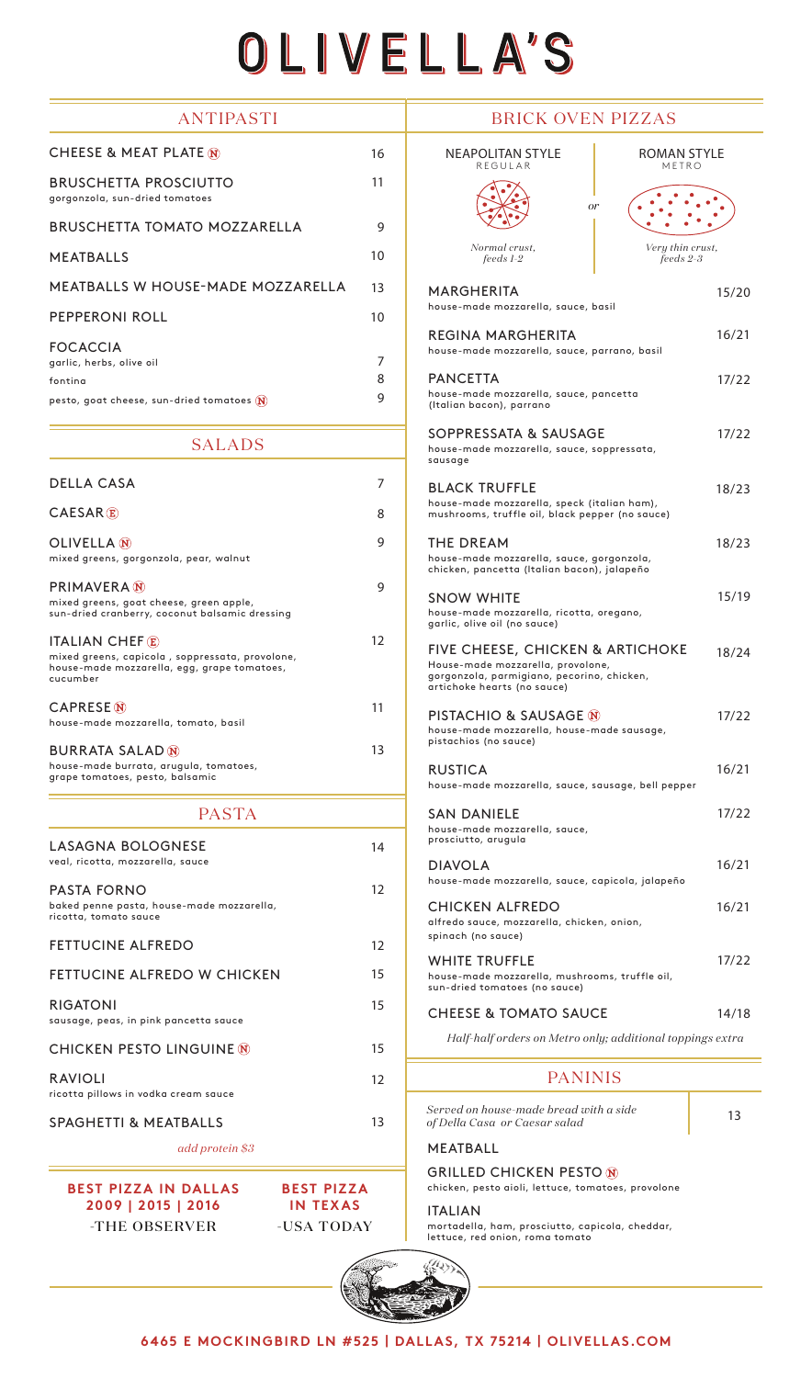## OLIVELLA'S

15/20

16/21

17/22

17/22

18/23

18/23

15/19

18/24

17/22

16/21

17/22

16/21

16/21

17/22

14/18

| <b>ANTIPASTI</b>                                                                                           |    | <b>BRICK OVEN PIZZAS</b>                                                                                                                           |      |
|------------------------------------------------------------------------------------------------------------|----|----------------------------------------------------------------------------------------------------------------------------------------------------|------|
| CHEESE & MEAT PLATE N                                                                                      | 16 | <b>NEAPOLITAN STYLE</b><br><b>ROMAN STYLE</b><br>REGULAR<br>METRO                                                                                  |      |
| <b>BRUSCHETTA PROSCIUTTO</b><br>gorgonzola, sun-dried tomatoes                                             | 11 | <sub>or</sub>                                                                                                                                      |      |
| <b>BRUSCHETTA TOMATO MOZZARELLA</b>                                                                        | 9  |                                                                                                                                                    |      |
| <b>MEATBALLS</b>                                                                                           | 10 | Normal crust.<br>Very thin crust,<br>feeds 2-3<br>$feedback I-2$                                                                                   |      |
| <b>MEATBALLS W HOUSE-MADE MOZZARELLA</b>                                                                   | 13 | <b>MARGHERITA</b>                                                                                                                                  | 15/2 |
| <b>PEPPERONI ROLL</b>                                                                                      | 10 | house-made mozzarella, sauce, basil                                                                                                                |      |
| <b>FOCACCIA</b><br>garlic, herbs, olive oil                                                                | 7  | <b>REGINA MARGHERITA</b><br>house-made mozzarella, sauce, parrano, basil                                                                           | 16/2 |
| fontina                                                                                                    | 8  | <b>PANCETTA</b>                                                                                                                                    | 17/2 |
| pesto, goat cheese, sun-dried tomatoes $\mathbf{\hat{N}}$                                                  | 9  | house-made mozzarella, sauce, pancetta<br>(Italian bacon), parrano                                                                                 |      |
| <b>SALADS</b>                                                                                              |    | SOPPRESSATA & SAUSAGE<br>house-made mozzarella, sauce, soppressata,<br>sausage                                                                     | 17/2 |
| <b>DELLA CASA</b>                                                                                          | 7  | <b>BLACK TRUFFLE</b>                                                                                                                               | 18/2 |
| <b>CAESAR</b> <sup><b>E</b></sup>                                                                          | 8  | house-made mozzarella, speck (italian ham),<br>mushrooms, truffle oil, black pepper (no sauce)                                                     |      |
| OLIVELLA N                                                                                                 | 9  | <b>THE DREAM</b>                                                                                                                                   | 18/2 |
| mixed greens, gorgonzola, pear, walnut                                                                     |    | house-made mozzarella, sauce, gorgonzola,<br>chicken, pancetta (Italian bacon), jalapeño                                                           |      |
| <b>PRIMAVERA</b> (N)                                                                                       | 9  |                                                                                                                                                    | 15/1 |
| mixed greens, goat cheese, green apple,<br>sun-dried cranberry, coconut balsamic dressing                  |    | <b>SNOW WHITE</b><br>house-made mozzarella, ricotta, oregano,<br>garlic, olive oil (no sauce)                                                      |      |
| <b>ITALIAN CHEFE</b>                                                                                       | 12 |                                                                                                                                                    |      |
| mixed greens, capicola, soppressata, provolone,<br>house-made mozzarella, egg, grape tomatoes,<br>cucumber |    | FIVE CHEESE, CHICKEN & ARTICHOKE<br>House-made mozzarella, provolone,<br>gorgonzola, parmigiano, pecorino, chicken,<br>artichoke hearts (no sauce) | 18/2 |
| <b>CAPRESE N</b>                                                                                           | 11 | PISTACHIO & SAUSAGE N                                                                                                                              |      |
| house-made mozzarella, tomato, basil                                                                       |    | house-made mozzarella, house-made sausage,<br>pistachios (no sauce)                                                                                | 17/2 |
| <b>BURRATA SALAD (N)</b><br>house-made burrata, arugula, tomatoes,                                         | 13 |                                                                                                                                                    | 16/2 |
| grape tomatoes, pesto, balsamic                                                                            |    | <b>RUSTICA</b><br>house-made mozzarella, sauce, sausage, bell pepper                                                                               |      |
| <b>PASTA</b>                                                                                               |    | <b>SAN DANIELE</b>                                                                                                                                 | 17/2 |
| <b>LASAGNA BOLOGNESE</b>                                                                                   | 14 | house-made mozzarella, sauce,<br>prosciutto, arugula                                                                                               |      |
| veal, ricotta, mozzarella, sauce                                                                           |    | <b>DIAVOLA</b>                                                                                                                                     | 16/2 |
| <b>PASTA FORNO</b>                                                                                         | 12 | house-made mozzarella, sauce, capicola, jalapeño                                                                                                   |      |
| baked penne pasta, house-made mozzarella,<br>ricotta, tomato sauce                                         |    | <b>CHICKEN ALFREDO</b>                                                                                                                             | 16/2 |
|                                                                                                            |    | alfredo sauce, mozzarella, chicken, onion,<br>spinach (no sauce)                                                                                   |      |
| <b>FETTUCINE ALFREDO</b>                                                                                   | 12 |                                                                                                                                                    |      |
| FETTUCINE ALFREDO W CHICKEN                                                                                | 15 | <b>WHITE TRUFFLE</b><br>house-made mozzarella, mushrooms, truffle oil,<br>sun-dried tomatoes (no sauce)                                            | 17/2 |
| <b>RIGATONI</b><br>sausage, peas, in pink pancetta sauce                                                   | 15 | <b>CHEESE &amp; TOMATO SAUCE</b>                                                                                                                   | 14/1 |
| <b>CHICKEN PESTO LINGUINE N</b>                                                                            | 15 | Half-half orders on Metro only; additional toppings extra                                                                                          |      |
| RAVIOLI                                                                                                    | 12 | <b>PANINIS</b>                                                                                                                                     |      |
| ricotta pillows in vodka cream sauce                                                                       |    | Served on house-made bread with a side                                                                                                             |      |
| <b>SPAGHETTI &amp; MEATBALLS</b>                                                                           | 13 | of Della Casa or Caesar salad                                                                                                                      | 13   |
| add protein \$3                                                                                            |    | <b>MEATBALL</b>                                                                                                                                    |      |
|                                                                                                            |    | <b>GRILLED CHICKEN PESTO N</b>                                                                                                                     |      |
| <b>BEST PIZZA IN DALLAS</b><br><b>BEST PIZZA</b><br>2009   2015   2016<br><b>IN TEXAS</b>                  |    | chicken, pesto aioli, lettuce, tomatoes, provolone                                                                                                 |      |
|                                                                                                            |    | <b>ITALIAN</b>                                                                                                                                     |      |
| -THE OBSERVER<br>-USA TODAY                                                                                |    | mortadella, ham, prosciutto, capicola, cheddar,<br>lettuce, red onion, roma tomato                                                                 |      |